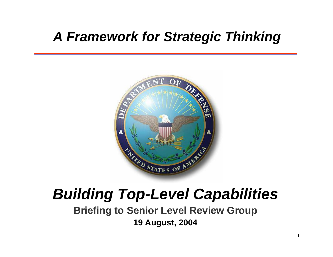### *A Framework for Strategic Thinking*



### *Building Top-Level Capabilities*

**Briefing to Senior Level Review Group 19 August, 2004**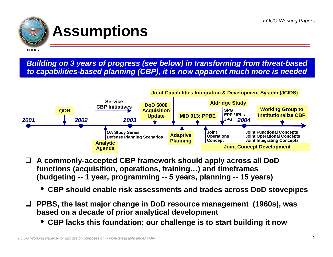

### **Assumptions**

**POLICY**

*Building on 3 years of progress (see below) in transforming from threat-based Building on 3 years of progress (see below) in transforming from threat-based to capabilities-based planning (CBP), it is now apparent much more is needed to capabilities-based planning (CBP), it is now apparent much more is needed*



- $\Box$  **A commonly-accepted CBP framework should apply across all DoD functions (acquisition, operations, training…) and timeframes (budgeting -- 1 year, programming -- 5 years, planning -- 15 years)** 
	- •**CBP should enable risk assessments and trades across DoD stovepipes**
- $\Box$  **PPBS, the last major change in DoD resource management (1960s), was based on a decade of prior analytical development**
	- •**CBP lacks this foundation; our challenge is to start building it now**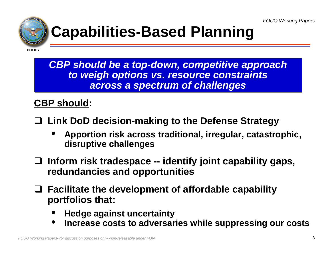

# **Capabilities-Based Planning**

**POLICY**

*CBP should be a top-down, competitive approach CBP should be a top-down, competitive approach to weigh options vs. resource constraints to weigh options vs. resource constraints across a spectrum of challenges across a spectrum of challenges*

#### **CBP should:**

- $\Box$  **Link DoD decision-making to the Defense Strategy** 
	- • **Apportion risk across traditional, irregular, catastrophic, disruptive challenges**
- **Inform risk tradespace -- identify joint capability gaps, redundancies and opportunities**
- **Facilitate the development of affordable capability portfolios that:**
	- •**Hedge against uncertainty**
	- •**Increase costs to adversaries while suppressing our costs**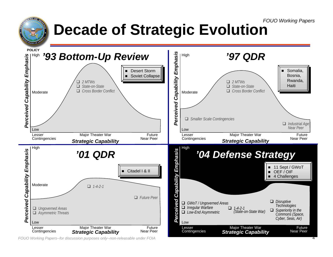# **Decade of Strategic Evolution**

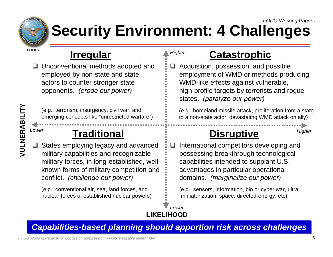

#### *FOUO Working Papers* **Security Environment: 4 Challenges**

*Higher*

**POLICY**

### **Irregular**

**□** Unconventional methods adopted and employed by non-state and state actors to counter stronger state opponents. *(erode our power)*

(e.g., terrorism, insurgency, civil war, and emerging concepts like "unrestricted warfare")

**Traditional**

 $\Box$  States employing legacy and advanced military capabilities and r ecognizable military forces, in long-established, wellknown forms of military competition and conflict. *(challenge our power)*

(e.g., conventional air, sea, land forces, and nuclear forces of established nuclear powers)

### **Catastrophic**

 $\Box$  Acquisition, possession, and possible employment of WMD or methods producing WMD-like effects against vulnerable, high-profile targets by terrorists and rogue states. *(paralyze our power)*

(e.g., hom eland missile attack, proliferation from a state to a non-state actor, devastating WMD attack on ally)

### **Disruptive**

 $\Box$  International competitors developing and possessing breakthrough technological capabilities intended to supplant U.S. advantages in particular operational domains. *(marginalize our power)* Column a state intervention, insurgency, civil war, and<br> **VULNERABILITY COLUMN COLUMN COLUMN COLUMN COLUMN COLUMN COLUMN COLUMN COLUMN COLUMN COLUMN COLUMN COLUMN COLUMN COLUMN COLUMN COLUMN COLUMN COLUMN COLUMN COLUMN CO** 

> (e.g., s ensors, information, bio or cyber war, ultra miniaturization, space, directed-energy, etc)

#### **LIKELIHOOD***Lower*

#### *Capabilities-based Capabilities-based planning should planning should apportion risk across challenges apportion risk across challenges*

*FOUO Working Papers--for discussion purposes only--non-releasable under FOIA*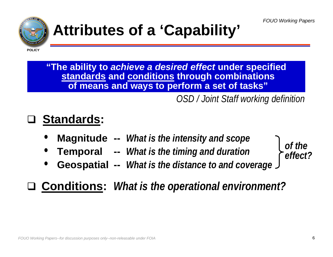

# **Attributes of a 'Capability'**

**POLICY**

**"The ability to** *achieve a desired effect* **under specified standards and conditions through combinations of means and ways to perform a set of tasks"**

*OSD / Joint Staff working definition*

### **Standards:**

- •**Magnitude --** *What is the intensity and scope*
- •**Temporal --** *What is the timing and duration*
- •**Geospatial --** *What is the distance to and coverage*



**Conditions:** *What is the operational environment?*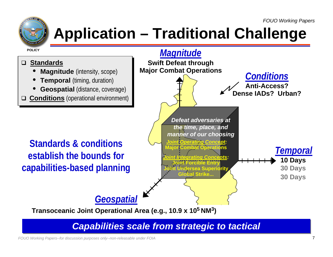

# **Application – Traditional Challenge**



#### *Capabilities scale from strategic to tactical Capabilities scale from strategic to tactical*

*FOUO Working Papers--for discussion purposes only--non-releasable under FOIA*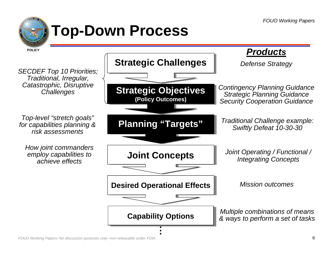![](_page_7_Picture_1.jpeg)

# **Top-Down Process**

![](_page_7_Figure_3.jpeg)

.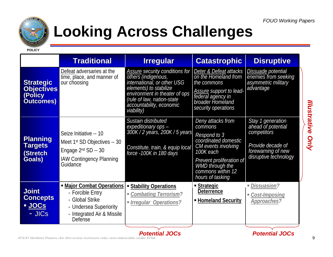![](_page_8_Picture_1.jpeg)

## **Looking Across Challenges**

**POLICY**

|                                                                      | <b>Traditional</b>                                                                                                                         | <b>Irregular</b>                                                                                                                                                                                                        | <b>Catastrophic</b>                                                                                                                                                                                     | <b>Disruptive</b>                                                                                                          |
|----------------------------------------------------------------------|--------------------------------------------------------------------------------------------------------------------------------------------|-------------------------------------------------------------------------------------------------------------------------------------------------------------------------------------------------------------------------|---------------------------------------------------------------------------------------------------------------------------------------------------------------------------------------------------------|----------------------------------------------------------------------------------------------------------------------------|
| <b>Strategic</b><br><b>Objectives</b><br>(Policy<br><b>Outcomes)</b> | Defeat adversaries at the<br>time, place, and manner of<br>our choosing                                                                    | Assure security conditions for<br>others (indigenous,<br>international, or other USG<br>elements) to stabilize<br>environment in theater of ops<br>(rule of law, nation-state<br>accountability, economic<br>viability) | Deter & Defeat attacks<br>on the Homeland from<br>the commons<br><b>Assure support to lead-</b><br>federal agency in<br>broader Homeland<br>security operations                                         | Dissuade potential<br>enemies from seeking<br>asymmetric military<br>advantage                                             |
| <b>Planning</b><br><b>Targets</b><br>(Stretch<br>Goals)              | Seize Initiative -- 10<br>Meet 1 <sup>st</sup> SD Objectives -- 30<br>Engage $2nd$ SD -- 30<br><b>IAW Contingency Planning</b><br>Guidance | Sustain distributed<br>expeditionary ops -<br>300K / 2 years, 200K / 5 years<br>Constitute, train, & equip local<br>force -100K in 180 days                                                                             | Deny attacks from<br>commons<br>Respond to 3<br>coordinated domestic<br>CM events involving<br>100K each<br>Prevent proliferation of<br><b>WMD</b> through the<br>commons within 12<br>hours of tasking | Stay 1 generation<br>ahead of potential<br>competitors<br>Provide decade of<br>forewarning of new<br>disruptive technology |
| <b>Joint</b><br><b>Concepts</b><br>JOCS<br>- JICs                    | • Major Combat Operations<br>- Forcible Entry<br>- Global Strike<br>- Undersea Superiority<br>- Integrated Air & Missile<br><b>Defense</b> | <b>Stability Operations</b><br>Combating Terrorism?<br>Irregular Operations?                                                                                                                                            | <u> Strategic</u><br><b>Deterrence</b><br>- Homeland Security                                                                                                                                           | <i>Dissuasion?</i><br>■ Cost-Imposing<br>Approaches?                                                                       |

*Potential JOCs*

*FOUO Working Papers--for discussion purposes only--non-releasable under FOIA*

9